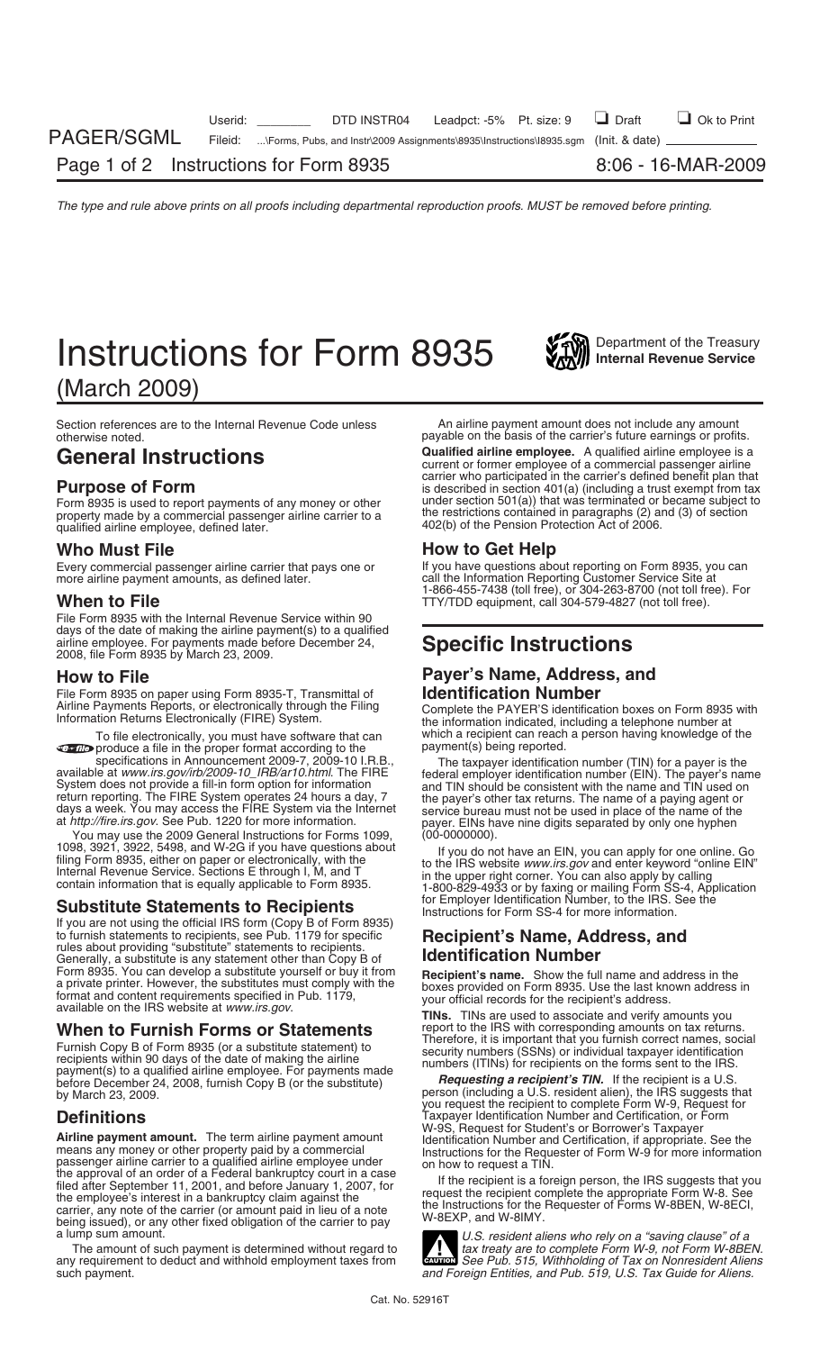## **Instructions for Form 8935** *Instructions Instructions* **Instructions**

(March 2009)

Section references are to the Internal Revenue Code unless An airline payment amount does not include any amount<br>payable on the basis of the carrier's future earnings or profit

property made by a commercial passenger airline carrier to a qualified airline employee, defined later.

Every commercial passenger airline carrier that pays one or more airline payment amounts, as defined later.

File Form 8935 with the Internal Revenue Service within 90 days of the date of making the airline payment(s) to a qualified airline employee. For payments made before December 24, **Specific Instructions** 2008, file Form 8935 by March 23, 2009.

File Form 8935 on paper using Form 8935-T, Transmittal of Airling<br>Airline Payments Reports, or electronically through the Filing

**E-file** produce a file in the proper format according to the specifications in Announcement 2009-7, 2009-10 I.R.B.,

You may use the 2009 General Instructions for Forms 1099, 1098, 3921, 3922, 5498, and W-2G if you have questions about

### **Substitute Statements to Recipients** Instructions for Employer Instructions for Form SS-4 for more information.

If you are not using the official IRS form (Copy B of Form 8935) to furnish statements to recipients, see Pub. 1179 for specific to furnish statements to recipients, see Pub. 1179 for specific **Recipient's Name, Address, and**<br>rules about providing "substitute" statements to recipients.<br>Generally a substitute is any statement other than Cony B of **Id** Generally, a substitute is any statement other than Copy B of **Follet is an**<br>Form 8935. You can develop a substitute yourself or buy it from Form 8935. You can develop a substitute yourself or buy it from<br>a private printer. However, the substitutes must comply with the<br>format and content requirements specified in Pub. 1179,<br>available on the IRS website at *www.* 

Furnish Copy B of Form 8935 (or a substitute statement) to<br>recipients within 90 days of the date of making the airline<br>payment(s) to a qualified airline employee. For payments made<br>before December 24, 2008, furnish Copy B before December 24, 2008, furnish Copy B (or the substitute) by March 23, 2009.

**Airline payment amount.** The term airline payment amount<br>
means any money or other property paid by a commercial<br>
meassenger airline carrier to a qualified airline employee under<br>
the approval of an order of a Federal ban

any requirement to deduct and withhold employment taxes from such payment.

payable on the basis of the carrier's future earnings or profits.

General Instructions **Canalified airline employee.** A qualified airline employee is a commercial passenger airline carrier who participated in the carrier's defined benefit plan that<br>is described in section 401(a) (including a trust exempt from tax<br>Form 8935 is used to report payments of any money or other under section 501(a)) that wa Form 8935 is used to report payments of any money or other under section  $501(a)$ ) that was terminated or became subject to property made by a commercial passenger airline carrier to a 402(b) of the Pension Protection Act of 2006.

**Who Must File**<br>**Every commercial passenger airline carrier that pays one or The Wave questions about reporting on Form 8935, you can** call the Information Reporting Customer Service Site at 1-866-455-7438 (toll free), or 304-263-8700 (not toll free). For **When to File** THE THE THE TTY/TDD equipment, call 304-579-4827 (not toll free).

## **How to File Payer's Name, Address, and**<br>File Form 8935 on paper using Form 8935-T, Transmittal of **Read Rentification Number**

Airline Payments Reports, or electronically through the Filing Complete the PAYER'S identification boxes on Form 8935 with Information Returns Electronically (FIRE) System. To file electronically, you must have software that can which a recipient can reach a person having knowledge of the<br>produce a file in the proper format according to the payment(s) being reported.

specifications in Announcement 2009-7, 2009-10 I.R.B.,<br>available at *www.irs.gov/irb/2009-10\_IRB/ar10.html*. The FIRE federal employer identification number (FIN). The payer's name<br>System does not provide a fill-in form op return reporting. The FIRE System operates 24 hours a day, 7<br>days a week. You may access the FIRE System via the Internet<br>at *http://fire.irs.gov*. See Pub. 1220 for more information.<br>You may use the 2009 General Instructi

1098, 3921, 3922, 5498, and W-2G if you have questions about<br>
filing Form 8935, either on paper or electronically, with the<br>
Internal Revenue Service. Sections E through I, M, and T<br>
contain information that is equally app

**When to Furnish Forms or Statements** report to the IRS with corresponding amounts on tax returns.<br>Therefore, it is important that you furnish correct names, social

person (including a U.S. resident alien), the IRS suggests that you request the recipient to complete Form W-9, Request for **Definitions**<br>M-9S, Request for Student's or Borrower's Taxpayer<br>M-9S, Request for Student's or Borrower's Taxpayer